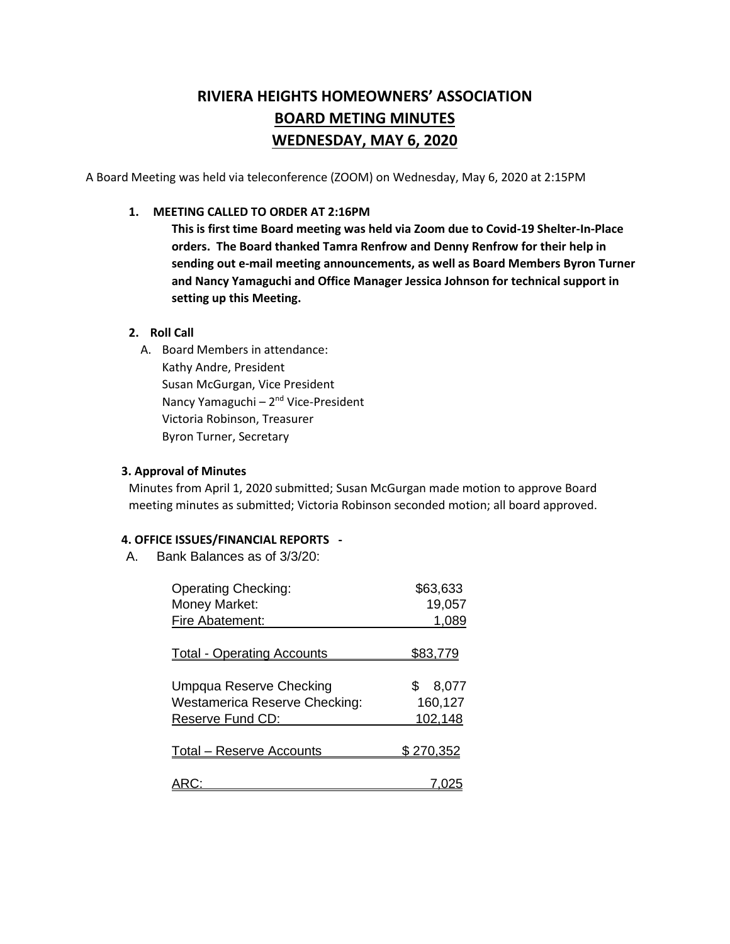# **RIVIERA HEIGHTS HOMEOWNERS' ASSOCIATION BOARD METING MINUTES WEDNESDAY, MAY 6, 2020**

A Board Meeting was held via teleconference (ZOOM) on Wednesday, May 6, 2020 at 2:15PM

### **1. MEETING CALLED TO ORDER AT 2:16PM**

**This is first time Board meeting was held via Zoom due to Covid-19 Shelter-In-Place orders. The Board thanked Tamra Renfrow and Denny Renfrow for their help in sending out e-mail meeting announcements, as well as Board Members Byron Turner and Nancy Yamaguchi and Office Manager Jessica Johnson for technical support in setting up this Meeting.** 

## **2. Roll Call**

A. Board Members in attendance: Kathy Andre, President Susan McGurgan, Vice President Nancy Yamaguchi - 2<sup>nd</sup> Vice-President Victoria Robinson, Treasurer Byron Turner, Secretary

## **3. Approval of Minutes**

Minutes from April 1, 2020 submitted; Susan McGurgan made motion to approve Board meeting minutes as submitted; Victoria Robinson seconded motion; all board approved.

## **4. OFFICE ISSUES/FINANCIAL REPORTS -**

A. Bank Balances as of 3/3/20:

| <b>Operating Checking:</b>             | \$63,633        |
|----------------------------------------|-----------------|
| Money Market:                          | 19,057          |
| Fire Abatement:                        | 1,089           |
|                                        |                 |
| <b>Total - Operating Accounts</b>      | <u>\$83,779</u> |
|                                        |                 |
| Umpqua Reserve Checking                | 8,077<br>\$     |
| <b>Westamerica Reserve Checking:</b>   | 160,127         |
| Reserve Fund CD:                       | 102,148         |
|                                        |                 |
| <u><b>Total – Reserve Accounts</b></u> | \$270.352       |
|                                        |                 |
|                                        |                 |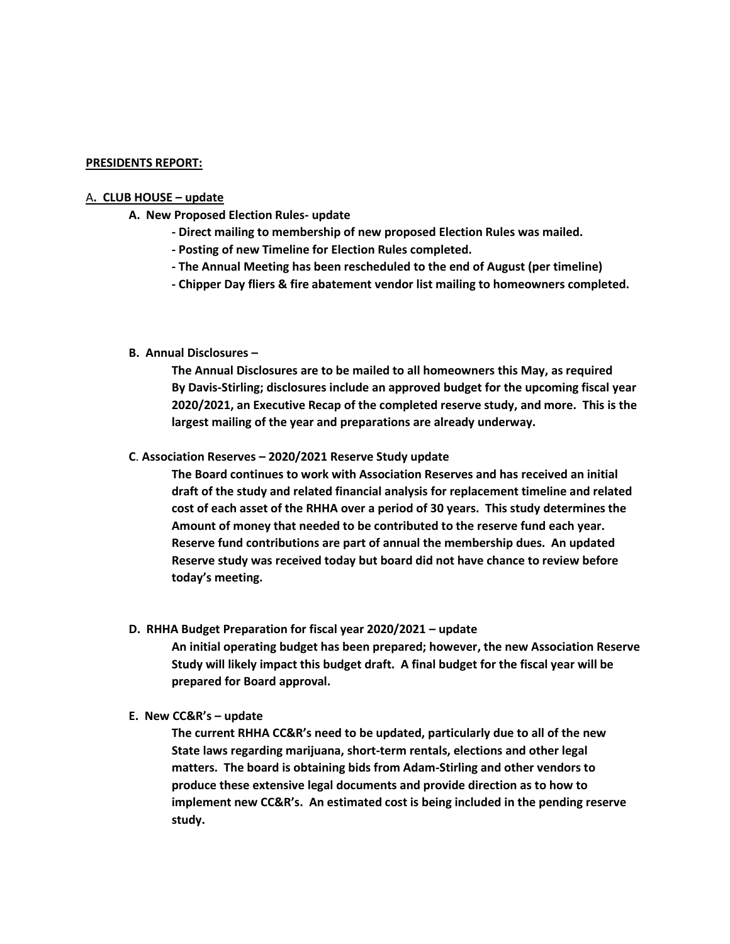#### **PRESIDENTS REPORT:**

#### A**. CLUB HOUSE – update**

- **A. New Proposed Election Rules- update**
	- **- Direct mailing to membership of new proposed Election Rules was mailed.**
	- **- Posting of new Timeline for Election Rules completed.**
	- **- The Annual Meeting has been rescheduled to the end of August (per timeline)**
	- **- Chipper Day fliers & fire abatement vendor list mailing to homeowners completed.**

## **B. Annual Disclosures –**

**The Annual Disclosures are to be mailed to all homeowners this May, as required By Davis-Stirling; disclosures include an approved budget for the upcoming fiscal year 2020/2021, an Executive Recap of the completed reserve study, and more. This is the largest mailing of the year and preparations are already underway.** 

**C**. **Association Reserves – 2020/2021 Reserve Study update**

**The Board continues to work with Association Reserves and has received an initial draft of the study and related financial analysis for replacement timeline and related cost of each asset of the RHHA over a period of 30 years. This study determines the Amount of money that needed to be contributed to the reserve fund each year. Reserve fund contributions are part of annual the membership dues. An updated Reserve study was received today but board did not have chance to review before today's meeting.**

**D. RHHA Budget Preparation for fiscal year 2020/2021 – update**

**An initial operating budget has been prepared; however, the new Association Reserve Study will likely impact this budget draft. A final budget for the fiscal year will be prepared for Board approval.** 

**E. New CC&R's – update**

**The current RHHA CC&R's need to be updated, particularly due to all of the new State laws regarding marijuana, short-term rentals, elections and other legal matters. The board is obtaining bids from Adam-Stirling and other vendors to produce these extensive legal documents and provide direction as to how to implement new CC&R's. An estimated cost is being included in the pending reserve study.**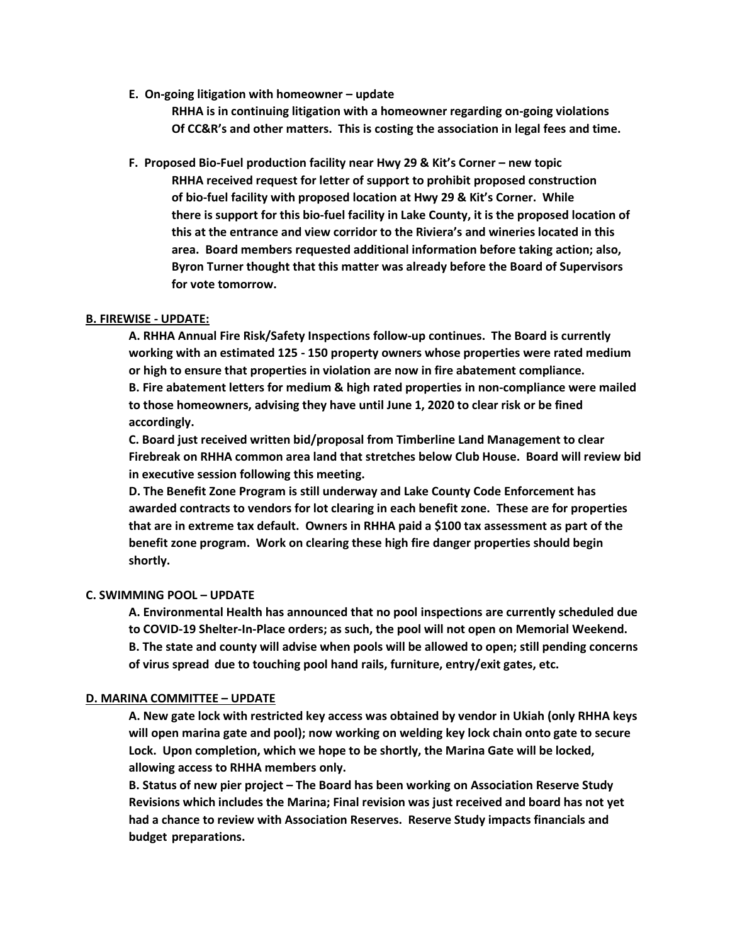**E. On-going litigation with homeowner – update**

**RHHA is in continuing litigation with a homeowner regarding on-going violations Of CC&R's and other matters. This is costing the association in legal fees and time.**

**F. Proposed Bio-Fuel production facility near Hwy 29 & Kit's Corner – new topic RHHA received request for letter of support to prohibit proposed construction of bio-fuel facility with proposed location at Hwy 29 & Kit's Corner. While there is support for this bio-fuel facility in Lake County, it is the proposed location of this at the entrance and view corridor to the Riviera's and wineries located in this area. Board members requested additional information before taking action; also, Byron Turner thought that this matter was already before the Board of Supervisors for vote tomorrow.**

## **B. FIREWISE - UPDATE:**

**A. RHHA Annual Fire Risk/Safety Inspections follow-up continues. The Board is currently working with an estimated 125 - 150 property owners whose properties were rated medium or high to ensure that properties in violation are now in fire abatement compliance. B. Fire abatement letters for medium & high rated properties in non-compliance were mailed to those homeowners, advising they have until June 1, 2020 to clear risk or be fined accordingly.**

**C. Board just received written bid/proposal from Timberline Land Management to clear Firebreak on RHHA common area land that stretches below Club House. Board will review bid in executive session following this meeting.**

**D. The Benefit Zone Program is still underway and Lake County Code Enforcement has awarded contracts to vendors for lot clearing in each benefit zone. These are for properties that are in extreme tax default. Owners in RHHA paid a \$100 tax assessment as part of the benefit zone program. Work on clearing these high fire danger properties should begin shortly.** 

## **C. SWIMMING POOL – UPDATE**

**A. Environmental Health has announced that no pool inspections are currently scheduled due to COVID-19 Shelter-In-Place orders; as such, the pool will not open on Memorial Weekend. B. The state and county will advise when pools will be allowed to open; still pending concerns of virus spread due to touching pool hand rails, furniture, entry/exit gates, etc.** 

#### **D. MARINA COMMITTEE – UPDATE**

**A. New gate lock with restricted key access was obtained by vendor in Ukiah (only RHHA keys will open marina gate and pool); now working on welding key lock chain onto gate to secure Lock. Upon completion, which we hope to be shortly, the Marina Gate will be locked, allowing access to RHHA members only.** 

**B. Status of new pier project – The Board has been working on Association Reserve Study Revisions which includes the Marina; Final revision was just received and board has not yet had a chance to review with Association Reserves. Reserve Study impacts financials and budget preparations.**